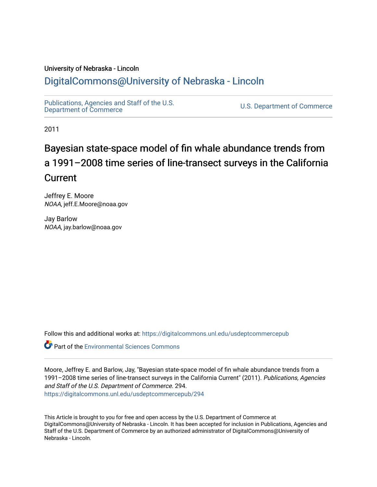## University of Nebraska - Lincoln

## [DigitalCommons@University of Nebraska - Lincoln](https://digitalcommons.unl.edu/)

[Publications, Agencies and Staff of the U.S.](https://digitalcommons.unl.edu/usdeptcommercepub)

U.S. [Department of Commerce](https://digitalcommons.unl.edu/usdeptcommercepub)

2011

# Bayesian state-space model of fin whale abundance trends from a 1991–2008 time series of line-transect surveys in the California **Current**

Jeffrey E. Moore NOAA, jeff.E.Moore@noaa.gov

Jay Barlow NOAA, jay.barlow@noaa.gov

Follow this and additional works at: [https://digitalcommons.unl.edu/usdeptcommercepub](https://digitalcommons.unl.edu/usdeptcommercepub?utm_source=digitalcommons.unl.edu%2Fusdeptcommercepub%2F294&utm_medium=PDF&utm_campaign=PDFCoverPages)

**C**<sup> $\bullet$ </sup> Part of the [Environmental Sciences Commons](http://network.bepress.com/hgg/discipline/167?utm_source=digitalcommons.unl.edu%2Fusdeptcommercepub%2F294&utm_medium=PDF&utm_campaign=PDFCoverPages)

Moore, Jeffrey E. and Barlow, Jay, "Bayesian state-space model of fin whale abundance trends from a 1991–2008 time series of line-transect surveys in the California Current" (2011). Publications, Agencies and Staff of the U.S. Department of Commerce. 294. [https://digitalcommons.unl.edu/usdeptcommercepub/294](https://digitalcommons.unl.edu/usdeptcommercepub/294?utm_source=digitalcommons.unl.edu%2Fusdeptcommercepub%2F294&utm_medium=PDF&utm_campaign=PDFCoverPages) 

This Article is brought to you for free and open access by the U.S. Department of Commerce at DigitalCommons@University of Nebraska - Lincoln. It has been accepted for inclusion in Publications, Agencies and Staff of the U.S. Department of Commerce by an authorized administrator of DigitalCommons@University of Nebraska - Lincoln.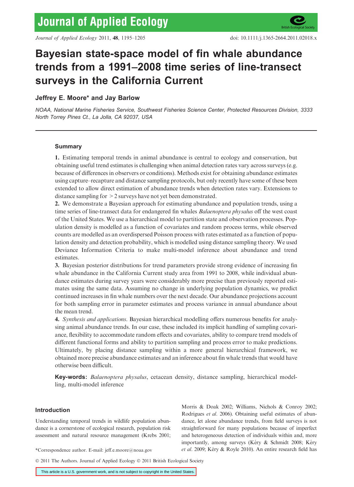

# Bayesian state-space model of fin whale abundance trends from a 1991–2008 time series of line-transect surveys in the California Current

## Jeffrey E. Moore\* and Jay Barlow

NOAA, National Marine Fisheries Service, Southwest Fisheries Science Center, Protected Resources Division, 3333 North Torrey Pines Ct., La Jolla, CA 92037, USA

## Summary

1. Estimating temporal trends in animal abundance is central to ecology and conservation, but obtaining useful trend estimates is challenging when animal detection rates vary across surveys (e.g. because of differences in observers or conditions). Methods exist for obtaining abundance estimates using capture–recapture and distance sampling protocols, but only recently have some of these been extended to allow direct estimation of abundance trends when detection rates vary. Extensions to distance sampling for >2 surveys have not yet been demonstrated.

2. We demonstrate a Bayesian approach for estimating abundance and population trends, using a time series of line-transect data for endangered fin whales *Balaenoptera physalus* off the west coast of the United States. We use a hierarchical model to partition state and observation processes. Population density is modelled as a function of covariates and random process terms, while observed counts are modelled as an overdispersed Poisson process with rates estimated as a function of population density and detection probability, which is modelled using distance sampling theory. We used Deviance Information Criteria to make multi-model inference about abundance and trend estimates.

3. Bayesian posterior distributions for trend parameters provide strong evidence of increasing fin whale abundance in the California Current study area from 1991 to 2008, while individual abundance estimates during survey years were considerably more precise than previously reported estimates using the same data. Assuming no change in underlying population dynamics, we predict continued increases in fin whale numbers over the next decade. Our abundance projections account for both sampling error in parameter estimates and process variance in annual abundance about the mean trend.

4. Synthesis and applications. Bayesian hierarchical modelling offers numerous benefits for analysing animal abundance trends. In our case, these included its implicit handling of sampling covariance, flexibility to accommodate random effects and covariates, ability to compare trend models of different functional forms and ability to partition sampling and process error to make predictions. Ultimately, by placing distance sampling within a more general hierarchical framework, we obtained more precise abundance estimates and an inference about fin whale trends that would have otherwise been difficult.

Key-words: Balaenoptera physalus, cetacean density, distance sampling, hierarchical modelling, multi-model inference

## Introduction

Understanding temporal trends in wildlife population abundance is a cornerstone of ecological research, population risk assessment and natural resource management (Krebs 2001;

Morris & Doak 2002; Williams, Nichols & Conroy 2002; Rodrigues et al. 2006). Obtaining useful estimates of abundance, let alone abundance trends, from field surveys is not straightforward for many populations because of imperfect and heterogeneous detection of individuals within and, more importantly, among surveys (Kéry & Schmidt 2008; Kéry \*Correspondence author. E-mail: jeff.e.moore@noaa.gov et al. 2009; Kéry & Royle 2010). An entire research field has

© 2011 The Authors. Journal of Applied Ecology © 2011 British Ecological Society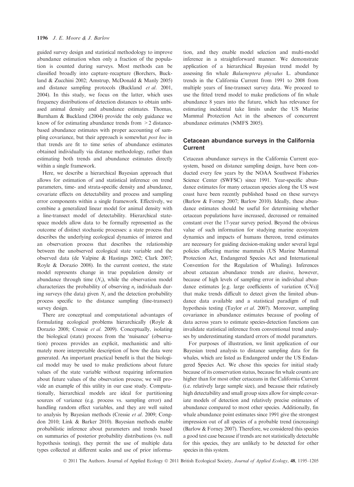guided survey design and statistical methodology to improve abundance estimation when only a fraction of the population is counted during surveys. Most methods can be classified broadly into capture–recapture (Borchers, Buckland & Zucchini 2002; Amstrup, McDonald & Manly 2005) and distance sampling protocols (Buckland et al. 2001, 2004). In this study, we focus on the latter, which uses frequency distributions of detection distances to obtain unbiased animal density and abundance estimates. Thomas, Burnham & Buckland (2004) provide the only guidance we know of for estimating abundance trends from >2 distancebased abundance estimates with proper accounting of sampling covariance, but their approach is somewhat post hoc in that trends are fit to time series of abundance estimates obtained individually via distance methodology, rather than estimating both trends and abundance estimates directly within a single framework.

Here, we describe a hierarchical Bayesian approach that allows for estimation of and statistical inference on trend parameters, time- and strata-specific density and abundance, covariate effects on detectability and process and sampling error components within a single framework. Effectively, we combine a generalized linear model for animal density with a line-transect model of detectability. Hierarchical statespace models allow data to be formally represented as the outcome of distinct stochastic processes: a state process that describes the underlying ecological dynamics of interest and an observation process that describes the relationship between the unobserved ecological state variable and the observed data (de Valpine & Hastings 2002; Clark 2007; Royle & Dorazio 2008). In the current context, the state model represents change in true population density or abundance through time  $(N_t)$ , while the observation model characterizes the probability of observing  $n_t$  individuals during surveys (the data) given  $N_t$  and the detection probability process specific to the distance sampling (line-transect) survey design.

There are conceptual and computational advantages of formulating ecological problems hierarchically (Royle & Dorazio 2008; Cressie et al. 2009). Conceptually, isolating the biological (state) process from the 'nuisance' (observation) process provides an explicit, mechanistic and ultimately more interpretable description of how the data were generated. An important practical benefit is that the biological model may be used to make predictions about future values of the state variable without requiring information about future values of the observation process; we will provide an example of this utility in our case study. Computationally, hierarchical models are ideal for partitioning sources of variance (e.g. process vs. sampling error) and handling random effect variables, and they are well suited to analysis by Bayesian methods (Cressie et al. 2009; Congdon 2010; Link & Barker 2010). Bayesian methods enable probabilistic inference about parameters and trends based on summaries of posterior probability distributions (vs. null hypothesis testing), they permit the use of multiple data types collected at different scales and use of prior information, and they enable model selection and multi-model inference in a straightforward manner. We demonstrate application of a hierarchical Bayesian trend model by assessing fin whale Balaenoptera physalus L. abundance trends in the California Current from 1991 to 2008 from multiple years of line-transect survey data. We proceed to use the fitted trend model to make predictions of fin whale abundance 8 years into the future, which has relevance for estimating incidental take limits under the US Marine Mammal Protection Act in the absences of concurrent abundance estimates (NMFS 2005).

## Cetacean abundance surveys in the California **Current**

Cetacean abundance surveys in the California Current ecosystem, based on distance sampling design, have been conducted every few years by the NOAA Southwest Fisheries Science Center (SWFSC) since 1991. Year-specific abundance estimates for many cetacean species along the US west coast have been recently published based on these surveys (Barlow & Forney 2007; Barlow 2010). Ideally, these abundance estimates should be useful for determining whether cetacean populations have increased, decreased or remained constant over the 17-year survey period. Beyond the obvious value of such information for studying marine ecosystem dynamics and impacts of humans thereon, trend estimates are necessary for guiding decision-making under several legal policies affecting marine mammals (US Marine Mammal Protection Act, Endangered Species Act and International Convention for the Regulation of Whaling). Inferences about cetacean abundance trends are elusive, however, because of high levels of sampling error in individual abundance estimates [e.g. large coefficients of variation (CVs)] that make trends difficult to detect given the limited abundance data available and a statistical paradigm of null hypothesis testing (Taylor et al. 2007). Moreover, sampling covariance in abundance estimates because of pooling of data across years to estimate species-detection functions can invalidate statistical inference from conventional trend analyses by underestimating standard errors of model parameters.

For purposes of illustration, we limit application of our Bayesian trend analysis to distance sampling data for fin whales, which are listed as Endangered under the US Endangered Species Act. We chose this species for initial study because of its conservation status, because fin whale counts are higher than for most other cetaceans in the California Current (i.e. relatively large sample size), and because their relatively high detectability and small group sizes allow for simple covariate models of detection and relatively precise estimates of abundance compared to most other species. Additionally, fin whale abundance point estimates since 1991 give the strongest impression out of all species of a probable trend (increasing) (Barlow & Forney 2007). Therefore, we considered this species a good test case because if trends are not statistically detectable for this species, they are unlikely to be detected for other species in this system.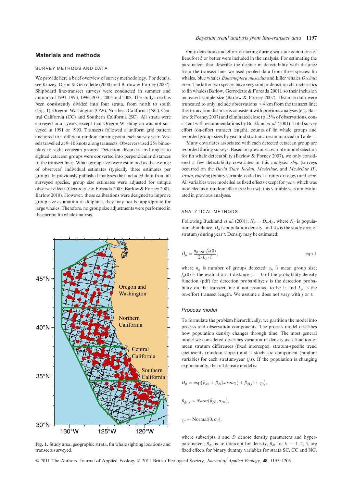## Materials and methods

#### SURVEY METHODS AND DATA

We provide here a brief overview of survey methodology. For details, see Kinzey, Olson & Gerrodette (2000) and Barlow & Forney (2007). Shipboard line-transect surveys were conducted in summer and autumn of 1991, 1993, 1996, 2001, 2005 and 2008. The study area has been consistently divided into four strata, from north to south (Fig. 1): Oregon–Washington (OW), Northern California (NC), Central California (CC) and Southern California (SC). All strata were surveyed in all years, except that Oregon-Washington was not surveyed in 1991 or 1993. Transects followed a uniform grid pattern anchored to a different random starting point each survey year. Vessels travelled at  $9-10$  knots along transects. Observers used  $25\times$  binoculars to sight cetacean groups. Detection distances and angles to sighted cetacean groups were converted into perpendicular distances to the transect lines. Whale group sizes were estimated as the average of observers' individual estimates (typically three estimates per group). In previously published analyses that included data from all surveyed species, group size estimates were adjusted for unique observer effects (Gerrodette & Forcada 2005; Barlow & Forney 2007; Barlow 2010). However, those calibrations were designed to improve group size estimation of dolphins; they may not be appropriate for large whales. Therefore, no group size adjustments were performed in the current fin whale analysis.



Only detections and effort occurring during sea state conditions of Beaufort 5 or better were included in the analysis. For estimating the parameters that describe the decline in detectability with distance from the transect line, we used pooled data from three species: fin whales, blue whales Balaenoptera musculus and killer whales Orcinus orca. The latter two species have very similar detection characteristics to fin whales (Barlow, Gerrodette & Forcada 2001), so their inclusion increased sample size (Barlow & Forney 2007). Distance data were truncated to only include observations <4 km from the transect line; this truncation distance is consistent with previous analyses (e.g. Barlow & Forney 2007) and eliminated close to 15% of observations, consistent with recommendations by Buckland et al. (2001). Total survey effort (on-effort transect length), counts of fin whale groups and recorded groups sizes by year and stratum are summarized in Table 1.

Many covariates associated with each detected cetacean group are recorded during surveys. Based on previous covariate model selection for fin whale detectability (Barlow & Forney 2007), we only considered a few detectability covariates in this analysis: *ship* (surveys occurred on the David Starr Jordan, McArthur, and McArthur II), strata, rainFog (binary variable, coded as 1 if rainy or foggy) and year. All variables were modelled as fixed effects except for year, which was modelled as a random effect (see below); this variable was not evaluated in previous analyses.

#### ANALYTICAL METHODS

Following Buckland *et al.* (2001),  $\hat{N}_{it} = \hat{D}_{it}A_{it}$ , where  $N_{it}$  is population abundance,  $D_{jt}$  is population density, and  $A_{jt}$  is the study area of stratum  $j$  during year  $t$ . Density may be estimated:

$$
\hat{D}_{jt} = \frac{n_{jt} \cdot \hat{s}_{jt} \cdot \hat{f}_{jt}(0)}{2 \cdot L_{jt} \cdot \hat{c}},\tag{eqn 1}
$$

where  $n_{it}$  is number of groups detected;  $s_{it}$  is mean group size;  $f_{it}(0)$  is the evaluation at distance  $y = 0$  of the probability density function (pdf) for detection probability;  $c$  is the detection probability on the transect line if not assumed to be 1; and  $L_{jt}$  is the on-effort transect length. We assume  $c$  does not vary with  $j$  or  $t$ .

#### Process model

To formulate the problem hierarchically, we partition the model into process and observation components. The process model describes how population density changes through time. The most general model we considered describes variation in density as a function of mean stratum differences (fixed intercepts), stratum-specific trend coefficients (random slopes) and a stochastic component (random variable) for each stratum-year  $(j,t)$ . If the population is changing exponentially, the full density model is:

$$
D_{jt} = \exp(\beta_{d0} + \beta_{dk}(strata_k) + \beta_{d4j}t + \gamma_{jt}),
$$

 $\beta_{d4,j} \sim Norm(\beta_{D4}, \sigma_{D4}),$ 

 $\gamma_{it} \sim \text{Normal}(0, \sigma_d),$ 

where subscripts  $d$  and  $D$  denote density parameters and hyperparameters;  $\beta_{d0}$  is an intercept for density;  $\beta_{dk}$  for  $k = 1, 2, 3$ , are fixed effects for binary dummy variables for strata SC, CC and NC,

Fig. 1. Study area, geographic strata, fin whale sighting locations and transects surveyed.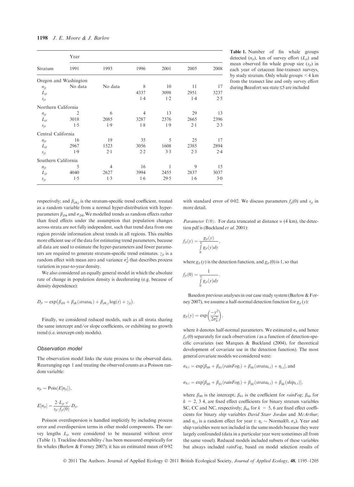| Stratum             | Year                  |             |                |       |             |       |  |  |
|---------------------|-----------------------|-------------|----------------|-------|-------------|-------|--|--|
|                     | 1991                  | 1993        | 1996           | 2001  | 2005        | 2008  |  |  |
|                     | Oregon and Washington |             |                |       |             |       |  |  |
| $n_{jt}$            | No data               | No data     | 8              | 10    | 11          | 17    |  |  |
| $L_{jt}$            |                       |             | 4337           | 3098  | 2951        | 3237  |  |  |
| $S_{jt}$            |                       |             | 1.4            | $1-2$ | 1.4         | 2.5   |  |  |
| Northern California |                       |             |                |       |             |       |  |  |
| $n_{jt}$            | 2                     | 6           | $\overline{4}$ | 13    | 29          | 13    |  |  |
| $L_{jt}$            | 3018                  | 2085        | 3287           | 2376  | 2665        | 2396  |  |  |
| $S_{jt}$            | 1.5                   | 1.9         | 1.8            | 1.9   | $2 \cdot 1$ | 2.3   |  |  |
| Central California  |                       |             |                |       |             |       |  |  |
| $n_{jt}$            | 16                    | 19          | 35             | 5     | 25          | 17    |  |  |
| $L_{jt}$            | 2967                  | 1523        | 3056           | 1608  | 2385        | 2894  |  |  |
| $S_{jt}$            | 1.9                   | $2 \cdot 1$ | 2.2            | 3.3   | 2.3         | 2.4   |  |  |
| Southern California |                       |             |                |       |             |       |  |  |
| $n_{jt}$            | 5                     | 4           | 16             |       | 9           | 15    |  |  |
| $L_{jt}$            | 4040                  | 2627        | 3994           | 2455  | 2837        | 3037  |  |  |
| $S_{jt}$            | 1.5                   | 1.3         | 1.6            | 29.5  | 1.6         | $3-0$ |  |  |

Table 1. Number of fin whale groups detected  $(n_{ij})$ , km of survey effort  $(L_{ij})$  and mean observed fin whale group size  $(s_{it})$  in each year of cetacean line-transect surveys, by study stratum. Only whale groups <4 km from the transect line and only survey effort during Beaufort sea state £5 are included

respectively; and  $\beta_{d4,j}$  is the stratum-specific trend coefficient, treated as a random variable from a normal hyper-distribution with hyperparameters  $\beta_{D4}$  and  $\sigma_{D4}$ . We modelled trends as random effects rather than fixed effects under the assumption that population changes across strata are not fully independent, such that trend data from one region provide information about trends in all regions. This enables more efficient use of the data for estimating trend parameters, because all data are used to estimate the hyper-parameters and fewer parameters are required to generate stratum-specific trend estimates.  $\gamma_{it}$  is a random effect with mean zero and variance  $\sigma_d^2$  that describes process variation in year-to-year density.

We also considered an equally general model in which the absolute rate of change in population density is decelerating (e.g. because of density dependence):

$$
D_{jt} = \exp(\beta_{d0} + \beta_{dk}(strata_k) + \beta_{d4,j}\log(t) + \gamma_{jt}).
$$

Finally, we considered reduced models, such as all strata sharing the same intercept and ⁄ or slope coefficients, or exhibiting no growth trend (i.e. intercept-only models).

#### Observation model

The observation model links the state process to the observed data. Rearranging eqn 1 and treating the observed counts as a Poisson random variable:

$$
n_{jt} \sim \text{Pois}(E[n_{jt}]),
$$
  

$$
E[n_{jt}] = \frac{2 \cdot L_{jt} \cdot c}{s_{jt} \cdot f_{jt}(0)} \cdot D_{jt}.
$$

Poisson overdispersion is handled implicitly by including process error and overdispersion terms in other model components. The survey lengths  $L_{it}$  were considered to be measured without error (Table 1). Trackline detectability  $\hat{c}$  has been measured empirically for fin whales (Barlow & Forney 2007); it has an estimated mean of 0.92 with standard error of 0.02. We discuss parameters  $f_{ii}(0)$  and  $s_{ii}$  in more detail.

*Parameter*  $f(0)$ . For data truncated at distance w (4 km), the detection pdf is (Buckland et al. 2001):

$$
f_{jt}(y) = \frac{g_{jt}(y)}{\int_{0}^{w} g_{jt}(y) dy},
$$

where  $g_{it}(y)$  is the detection function, and  $g_{it}(0)$  is 1, so that

$$
f_{jt}(0) = \frac{1}{\int\limits_{0}^{w} g_{jt}(y) dy}.
$$

Basedon previous analyses in our case study system (Barlow & Forney 2007), we assume a half-normal detection function for  $g_{it}(y)$ :

$$
g_{jt}(y) = \exp\left(\frac{-y^2}{2\sigma_h^2}\right),\,
$$

where h denotes half-normal parameters. We estimated  $\sigma_h$  and hence  $f_{it}(0)$  separately for each observation i as a function of detection-specific covariates (see Marques & Buckland (2004), for theoretical development of covariate use in the detection function). The most general covariate models we considered were:

$$
\sigma_{h,i} = \exp[\beta_{h0} + \beta_{h1}(rainFog_i) + \beta_{hk}(strata_{k,i}) + \eta_{t,i}],
$$
 and

$$
\sigma_{h,i} = \exp[\beta_{h0} + \beta_{h1}(rainFog_i) + \beta_{hk}(strata_{k,i}) + \beta_{hk}(ship_{k,i})],
$$

where  $\beta_{h0}$  is the intercept;  $\beta_{h1}$  is the coefficient for *rainFog*;  $\beta_{hk}$  for  $k = 2, 3, 4$ , are fixed effect coefficients for binary stratum variables SC, CC and NC, respectively;  $\beta_{hk}$  for  $k = 5$ , 6 are fixed effect coefficients for binary ship variables David Starr Jordan and McArthur; and  $\eta_{t,i}$  is a random effect for year t:  $\eta_t \sim \text{Normal}(0, \sigma_\sigma)$ . Year and ship variables were not included in the same models because they were largely confounded (data in a particular year were sometimes all from the same vessel). Reduced models included subsets of these variables but always included rainFog, based on model selection results of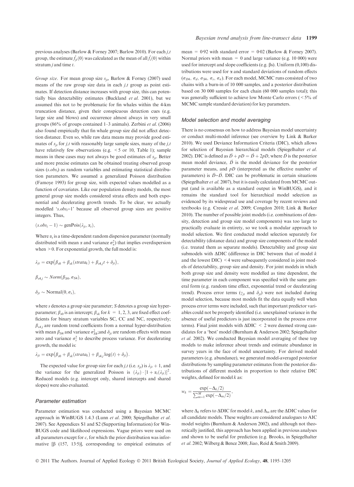previous analyses (Barlow & Forney 2007; Barlow 2010). For each j,t group, the estimate  $\hat{f}_t(0)$  was calculated as the mean of all  $\hat{f}_i(0)$  within stratum  $j$  and time  $t$ .

Group size. For mean group size  $s_{jt}$ , Barlow & Forney (2007) used means of the raw group size data in each  $j, t$  group as point estimates. If detection distance increases with group size, this can potentially bias detectability estimates (Buckland et al. 2001), but we assumed this not to be problematic for fin whales within the 4-km truncation distance, given their conspicuous detection cues (e.g. large size and blows) and occurrence almost always in very small groups (86% of groups contained 1–3 animals). Zerbini et al. (2006) also found empirically that fin whale group size did not affect detection distance. Even so, while raw data means may provide good estimates of  $s_{it}$  for j,t with reasonably large sample sizes, many of the j,t have relatively few observations (e.g. <5 or 10, Table 1); sample means in these cases may not always be good estimates of  $s_{ij}$ . Better and more precise estimates can be obtained treating observed group sizes  $(s.obs<sub>i</sub>)$  as random variables and estimating statistical distribution parameters. We assumed a generalized Poisson distribution (Famoye 1993) for group size, with expected values modelled as a function of covariates. Like our population density models, the most general group size models considered strata effects and both exponential and decelerating growth trends. To be clear, we actually modelled 's. $obs<sub>i</sub>$ -1' because all observed group sizes are positive integers. Thus,

 $(s.obs_i - 1) \sim \text{genPois}(\lambda_{it}, \alpha_t),$ 

Where  $\alpha_t$  is a time-dependent random dispersion parameter (normally distributed with mean  $\alpha$  and variance  $\sigma_{\alpha}^2$ ) that implies overdispersion when  $>0$ . For exponential growth, the full model is:

$$
\lambda_{jt} = \exp(\beta_{s0} + \beta_{sk}(strata_k) + \beta_{s4,j}t + \delta_{jt}),
$$

 $\beta_{s4,j} \sim Norm(\beta_{S4}, \sigma_{S4}),$ 

$$
\delta_{jt} \sim Normal(0, \sigma_s),
$$

where s denotes a group size parameter; S denotes a group size hyperparameter;  $\beta_{s0}$  is an intercept;  $\beta_{sk}$  for  $k = 1, 2, 3$ , are fixed effect coefficients for binary stratum variables SC, CC and NC, respectively;  $\beta_{s4,i}$  are random trend coefficients from a normal hyper-distribution with mean  $\beta_{S4}$  and variance  $\sigma_{S4}^2$ ; and  $\delta_{jt}$  are random effects with mean zero and variance  $\sigma_s^2$  to describe process variance. For decelerating growth, the model is:

$$
\lambda_{jt} = \exp(\beta_{s0} + \beta_{sk}(strata_k) + \beta_{s4,j}\log(t) + \delta_{jt}).
$$

The expected value for group size for each *j*,*t* (i.e.  $s_{it}$ ) is  $\lambda_{it} + 1$ , and the variance for the generalized Poisson is  $(\lambda_{jt}) \cdot [1 + \alpha_t(\lambda_{jt})]^2$ . Reduced models (e.g. intercept only, shared intercepts and shared slopes) were also evaluated.

#### Parameter estimation

Parameter estimation was conducted using a Bayesian MCMC approach in WinBUGS 1.4.3 (Lunn et al. 2000; Spiegelhalter et al. 2007). See Appendices S1 and S2 (Supporting Information) for Win-BUGS code and likelihood expressions. Vague priors were used on all parameters except for  $c$ , for which the prior distribution was informative  $[\beta \ (157, 13.5)],$  corresponding to empirical estimates of mean = 0.92 with standard error = 0.02 (Barlow & Forney 2007). Normal priors with mean  $= 0$  and large variance (e.g. 10 000) were used for intercept and slope coefficients (e.g.  $\beta s$ ). Uniform (0,100) distributions were used for  $\alpha$  and standard deviations of random effects  $(\sigma_{D4}, \sigma_d, \sigma_{S4}, \sigma_s, \sigma_d)$ . For each model, MCMC runs consisted of two chains with a burn-in of 10 000 samples, and a posterior distribution based on 30 000 samples for each chain (60 000 samples total); this was generally sufficient to achieve low Monte Carlo errors ( $\leq 5\%$  of MCMC sample standard deviation) for key parameters.

#### Model selection and model averaging

There is no consensus on how to address Bayesian model uncertainty or conduct multi-model inference (see overview by Link & Barker 2010). We used Deviance Information Criteria (DIC), which allows for selection of Bayesian hierarchical models (Spiegelhalter et al. 2002). DIC is defined as  $\bar{D} + pD = \hat{D} + 2pD$ , where  $\bar{D}$  is the posterior mean model deviance,  $\hat{D}$  is the model deviance for the posterior parameter means, and  $pD$  (interpreted as the effective number of parameters) is  $\bar{D}-\hat{D}$ . DIC can be problematic in certain situations (Spiegelhalter et al. 2007), but it is easily calculated from MCMC output (and is available as a standard output in WinBUGS), and it remains the standard tool for hierarchical model selection as evidenced by its widespread use and coverage by recent reviews and textbooks (e.g. Cressie et al. 2009; Congdon 2010; Link & Barker 2010). The number of possible joint models (i.e. combinations of density, detection and group size model components) was too large to practically evaluate in entirety, so we took a modular approach to model selection. We first conducted model selection separately for detectability (distance data) and group size components of the model (i.e. treated them as separate models). Detectability and group size submodels with  $\Delta$ DIC (difference in DIC between that of model  $k$ and the lowest DIC) <4 were subsequently considered in joint models of detectability, group size and density. For joint models in which both group size and density were modelled as time dependent, the time parameter in each component was specified with the same general form (e.g. random time effect, exponential trend or decelerating trend). Process error terms ( $\gamma_{it}$  and  $\delta_{it}$ ) were not included during model selection, because most models fit the data equally well when process error terms were included, such that important predictor variables could not be properly identified (i.e. unexplained variance in the absence of useful predictors is just incorporated in the process error terms). Final joint models with  $\Delta DIC < 2$  were deemed strong candidates for a 'best' model (Burnham & Anderson 2002; Spiegelhalter et al. 2002). We conducted Bayesian model averaging of these top models to make inference about trends and estimate abundance in survey years in the face of model uncertainty. For derived model parameters (e.g. abundance), we generated model-averaged posterior distributions by sampling parameter estimates from the posterior distributions of different models in proportion to their relative DIC weights, defined for model  $k$  as:

$$
w_k = \frac{\exp(-\Delta_k/2)}{\sum_{m=1}^M \exp(-\Delta_m/2)},
$$

where  $\Delta_k$  refers to  $\Delta \text{DIC}$  for model k, and  $\Delta_m$  are the  $\Delta \text{DIC}$  values for all candidate models. These weights are considered analogues to AIC model weights (Burnham & Anderson 2002), and although not theoretically justified, this approach has been applied in previous analyses and shown to be useful for prediction (e.g. Brooks, in Spiegelhalter et al. 2002; Wilberg & Bence 2008; Jiao, Reid & Smith 2009).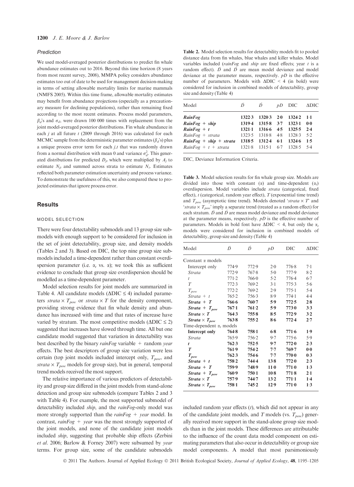#### Prediction

We used model-averaged posterior distributions to predict fin whale abundance estimates out to 2016. Beyond this time horizon (8 years from most recent survey, 2008), MMPA policy considers abundance estimates too out of date to be used for management decision-making in terms of setting allowable mortality limits for marine mammals (NMFS 2005). Within this time frame, allowable mortality estimates may benefit from abundance projections (especially as a precautionary measure for declining populations), rather than remaining fixed according to the most recent estimates. Process model parameters,  $\beta_d$ 's and  $\sigma_d$ , were drawn 100 000 times with replacement from the joint model-averaged posterior distributions. Fin whale abundance in each  $j$  at all future  $t$  (2009 through 2016) was calculated for each MCMC sample from the deterministic parameter estimates ( $\beta_d$ 's) plus a unique process error term for each  $j$ ,t that was randomly drawn from a normal distribution with mean 0 and variance  $\sigma_d^2$ . This generated distributions for predicted  $D_{it}$  which were multiplied by  $A_i$  to estimate  $N_{it}$  and summed across strata to estimate  $N_t$ . Estimates reflected both parameter estimation uncertainty and process variance. To demonstrate the usefulness of this, we also compared these to projected estimates that ignore process error.

## **Results**

#### MODEL SELECTION

There were four detectability submodels and 13 group size submodels with enough support to be considered for inclusion in the set of joint detectability, group size, and density models (Tables 2 and 3). Based on DIC, the top nine group size submodels included a time-dependent rather than constant overdispersion parameter (i.e.  $\alpha_t$  vs.  $\alpha$ ); we took this as sufficient evidence to conclude that group size overdispersion should be modelled as a time-dependent parameter.

Model selection results for joint models are summarized in Table 4. All candidate models ( $\triangle DIC \leq 4$ ) included parameters strata  $\times T_{pow}$  or strata  $\times T$  for the density component, providing strong evidence that fin whale density and abundance has increased with time and that rates of increase have varied by stratum. The most competitive models ( $\triangle DIC \leq 2$ ) suggested that increases have slowed through time. All but one candidate model suggested that variation in detectability was best described by the binary *rainFog* variable  $+$  random *year* effects. The best descriptors of group size variation were less certain (top joint models included intercept only,  $T_{pow}$ , and strata  $\times T_{pow}$  models for group size), but in general, temporal trend models received the most support.

The relative importance of various predictors of detectability and group size differed in the joint models from stand-alone detection and group size submodels (compare Tables 2 and 3 with Table 4). For example, the most supported submodel of detectability included ship, and the rainFog-only model was more strongly supported than the *rainFog* + year model. In contrast, rainFog  $+$  year was the most strongly supported of the joint models, and none of the candidate joint models included ship, suggesting that probable ship effects (Zerbini et al. 2006; Barlow & Forney 2007) were subsumed by year terms. For group size, some of the candidate submodels

Table 2. Model selection results for detectability models fit to pooled distance data from fin whales, blue whales and killer whales. Model variables included ( $rainFog$  and  $ship$  are fixed effects; year  $t$  is a random effect).  $\overline{D}$  and  $\overline{D}$  are mean model deviance and model deviance at the parameter means, respectively.  $pD$  is the effective number of parameters. Models with  $\Delta DIC < 4$  (in bold) were considered for inclusion in combined models of detectability, group size and density (Table 4)

| Model                     | D      | $\hat{D}$                   | $pD$ DIC $\triangle$ DIC |     |
|---------------------------|--------|-----------------------------|--------------------------|-----|
| <b>RainFog</b>            | 1322.3 | $1320.3$ $2.0$ $1324.2$ 1.1 |                          |     |
| $RainFog + ship$          |        | 1319.4 1315.8 3.7 1323.1    |                          | 0.0 |
| $RainFog + t$             |        | 1321.1 1316.6 4.5 1325.5    |                          | 2.4 |
| $RainFog + strata$        |        | 1323.5 1318.8 4.8 1328.3    |                          | 5.2 |
| $RainFog + ship + strata$ | 1318.5 | 1312.4                      | $6.1$ 1324.6             | 1.5 |
| $RainFog + t + strata$    |        | $1321.8$ $1315.1$           | $6.7$ 1328.5             | 5.4 |

DIC, Deviance Information Criteria.

Table 3. Model selection results for fin whale group size. Models are divided into those with constant  $(\alpha)$  and time-dependent  $(\alpha_t)$ overdispersion. Model variables include strata (categorical, fixed effect),  $t$  (categorical, random year effect),  $T$  (exponential time trend) and  $T_{pow}$  (asymptotic time trend). Models denoted 'strata  $\times$  T' and 'strata  $\times T_{pow}$ ' imply a separate trend (treated as a random effect) for each stratum.  $\bar{D}$  and  $\hat{D}$  are mean model deviance and model deviance at the parameter means, respectively.  $pD$  is the effective number of parameters. Models in bold font have  $\Delta DIC \leq 4$ , but only the  $\alpha_t$ models were considered for inclusion in combined models of detectability, group size and density (Table 4)

| Model                            | $\bar{D}$ | Ď         | pD     | DIC       | <b>ADIC</b> |
|----------------------------------|-----------|-----------|--------|-----------|-------------|
| Constant $\alpha$ models         |           |           |        |           |             |
| Intercept only                   | 774.9     | 772.9     | $2-0$  | 776.8     | $7-1$       |
| <i>Strata</i>                    | 772.9     | 767.8     | $5-0$  | 777.9     | 8.2         |
| $\bar{t}$                        | 771.2     | 7660      | 5.2    | $776-4$   | $6-7$       |
| T                                | 772.3     | 769.2     | $3-1$  | 775.3     | 5.6         |
| $T_{pow}$                        | 772.2     | 769.2     | 2.9    | $775-1$   | 5.4         |
| $Strata + t$                     | 765.2     | 756.3     | 8.9    | 774.1     | $4 - 4$     |
| $Strata + T$                     | 766.6     | $760 - 7$ | 5.9    | 772.5     | 2.8         |
| Strata + $T_{pow}$               | 767.1     | 761.2     | 5.9    | 773.0     | 3.3         |
| Strata $\times T$                | 764.3     | 755.8     | 8.5    | 772.9     | 3.2         |
| Strata $\times T_{pow}$          | 763.8     | 755.2     | 8.6    | $772 - 4$ | 2.7         |
| Time-dependent $\alpha_t$ models |           |           |        |           |             |
| Intercept only                   | 764.8     | $758-1$   | 6.8    | 771.6     | 1.9         |
| <i>Strata</i>                    | 765.9     | 756.2     | 9.7    | 775.6     | 5.9         |
| t                                | 762.3     | 752.5     | 9.7    | 772.0     | 2.3         |
| $\boldsymbol{\tau}$              | 761.9     | 754.2     | $7-7$  | 769.7     | 0.0         |
| $T_{pow}$                        | 762.3     | 754.6     | $7-7$  | $770-0$   | 0.3         |
| $Strata + t$                     | 758.2     | 744.4     | 13.8   | 772.0     | 2.3         |
| $Strata + T$                     | 759.9     | 748.9     | $11-0$ | 771.0     | 1:3         |
| Strata + $T_{pow}$               | 760.9     | $750-1$   | $10-8$ | 771.8     | 2.1         |
| Strata $\times T$                | 757.9     | 744.7     | 13.2   | $771-1$   | 1.4         |
| Strata $\times T_{pow}$          | $758-1$   | 745.2     | 12.9   | 771.0     | 1:3         |

included random year effects  $(t)$ , which did not appear in any of the candidate joint models, and T models (vs.  $T_{pow}$ ) generally received more support in the stand-alone group size models than in the joint models. These differences are attributable to the influence of the count data model component on estimating parameters that also occur in detectability or group size model components. A model that most parsimoniously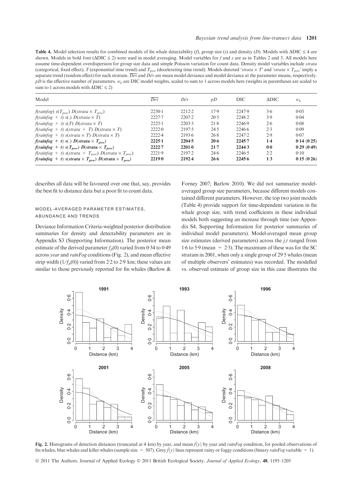Table 4. Model selection results for combined models of fin whale detectability (f), group size (s) and density (D). Models with  $\Delta DIC \leq 4$  are shown. Models in bold font ( $\triangle DIC \leq 2$ ) were used in model averaging. Model variables for f and s are as in Tables 2 and 3. All models here assume time-dependent overdispersion for group size data and simple Poisson variation for count data. Density model variables include strata (categorical, fixed effect), T (exponential time trend) and  $T_{pow}$  (decelerating time trend). Models denoted 'strata  $\times T$  and 'strata  $\times T_{pow}$ ' imply a separate trend (random effect) for each stratum. Dev and Dev are mean model deviance and model deviance at the parameter means, respectively.  $pD$  is the effective number of parameters.  $w_k$  are DIC model weights, scaled to sum to 1 across models here (weights in parentheses are scaled to sum to 1 across models with  $\triangle DIC \leq 2$ )

| Model                                                                                 | Dev            | Dêv      | pD       | DIC    | $\Delta \text{DIC}$ | $W_k$      |
|---------------------------------------------------------------------------------------|----------------|----------|----------|--------|---------------------|------------|
| $f(\text{rainfog})$ $s(T_{pow})$ $D(\text{strata} \times T_{pow})$                    | $2230-1$       | 2212.2   | 17.9     | 2247.9 | 3.6                 | 0.05       |
| $f(rainfog + t)$ s(.) $D(strata \times T)$                                            | $2227 - 7$     | $2207-2$ | 20.5     | 2248.2 | 3.9                 | 0.04       |
| $\int (rainfog + t) s(T) D(strata \times T)$                                          | $2225 \cdot 1$ | 2203.3   | 21.8     | 2246.9 | 2.6                 | 0.08       |
| $f(rainfog + t)$ s(strata + T) $D(\text{strata} \times T)$                            | $2222 \cdot 0$ | 2197.5   | 24.5     | 2246.6 | 2.3                 | 0.09       |
| $f(rainfog + t)$ s(strata $\times T$ ) $D(strata \times T)$                           | 2222.4         | 2193.6   | 26.8     | 2247.2 | 2.9                 | 0.07       |
| $f(\text{rainfog} + t) s(.)$ $D(\text{strata} \times T_{\text{pow}})$                 | $2225 \cdot 1$ | 2204.5   | 20.6     | 2245.7 | 1.4                 | 0.14(0.25) |
| $f(\text{rainfog} + t) s(T_{pow}) D(\text{strata} \times T_{pow})$                    | $2222 - 7$     | 22010    | $21 - 7$ | 2244.3 | 0.0                 | 0.29(0.49) |
| $f(rainfog + t)$ s(strata + $T_{pow}$ ) $D(strata \times T_{pow})$                    | 2221.9         | 2197.2   | 24.6     | 2246.5 | 2.2                 | 0.10       |
| $f(\text{rainfog} + t)$ s(strata $\times T_{pow}$ ) $D(\text{strata} \times T_{pow})$ | 2219.0         | 2192.4   | 26.6     | 2245.6 | 1.3                 | 0.15(0.26) |

describes all data will be favoured over one that, say, provides the best fit to distance data but a poor fit to count data.

## MODEL-AVERAGED PARAMETER ESTIMATES, ABUNDANCE AND TRENDS

Deviance Information Criteria-weighted posterior distribution summaries for density and detectability parameters are in Appendix S3 (Supporting Information). The posterior mean estimate of the derived parameter  $f_{it}(0)$  varied from 0.34 to 0.49 across year and rainFog conditions (Fig. 2), and mean effective strip width  $(1/f_{it}(0))$  varied from 2.2 to 2.9 km; these values are similar to those previously reported for fin whales (Barlow &

Forney 2007; Barlow 2010). We did not summarize modelaveraged group size parameters, because different models contained different parameters. However, the top two joint models (Table 4) provide support for time-dependent variation in fin whale group size, with trend coefficients in these individual models both suggesting an increase through time (see Appendix S4, Supporting Information for posterior summaries of individual model parameters). Model-averaged mean group size estimates (derived parameters) across the *j*,*t* ranged from 1.6 to 5.9 (mean = 2.3). The maximum of these was for the SC stratum in 2001, when only a single group of  $29.5$  whales (mean of multiple observers' estimates) was recorded. The modelled vs. observed estimate of group size in this case illustrates the



Fig. 2. Histograms of detection distances (truncated at 4 km) by year, and mean  $\hat{f}(y)$  by year and *rainFog* condition, for pooled observations of fin whales, blue whales and killer whales (sample size = 507). Grey  $\hat{f}(y)$  lines represent rainy or foggy conditions (binary *rainFog* variable = 1).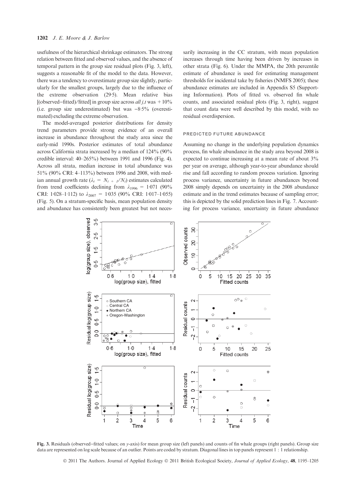usefulness of the hierarchical shrinkage estimators. The strong relation between fitted and observed values, and the absence of temporal pattern in the group size residual plots (Fig. 3, left), suggests a reasonable fit of the model to the data. However, there was a tendency to overestimate group size slightly, particularly for the smallest groups, largely due to the influence of the extreme observation (29.5). Mean relative bias [(observed–fitted)/fitted] in group size across all j,t was  $+10\%$ (i.e. group size underestimated) but was  $-8.5\%$  (overestimated) excluding the extreme observation.

The model-averaged posterior distributions for density trend parameters provide strong evidence of an overall increase in abundance throughout the study area since the early-mid 1990s. Posterior estimates of total abundance across California strata increased by a median of 124% (90% credible interval: 40–265%) between 1991 and 1996 (Fig. 4). Across all strata, median increase in total abundance was 51% (90% CRI: 4–113%) between 1996 and 2008, with median annual growth rate  $(\lambda_t = N_{t} + \frac{1}{N_t})$  estimates calculated from trend coefficients declining from  $\lambda_{1996} = 1.071$  (90%) CRI: 1·028–1·112) to  $\lambda_{2007} = 1.035$  (90% CRI: 1·017–1·055) (Fig. 5). On a stratum-specific basis, mean population density and abundance has consistently been greatest but not necessarily increasing in the CC stratum, with mean population increases through time having been driven by increases in other strata (Fig. 6). Under the MMPA, the 20th percentile estimate of abundance is used for estimating management thresholds for incidental take by fisheries (NMFS 2005); these abundance estimates are included in Appendix S5 (Supporting Information). Plots of fitted vs. observed fin whale counts, and associated residual plots (Fig. 3, right), suggest that count data were well described by this model, with no residual overdispersion.

#### PREDICTED FUTURE ABUNDANCE

Assuming no change in the underlying population dynamics process, fin whale abundance in the study area beyond 2008 is expected to continue increasing at a mean rate of about 3% per year on average, although year-to-year abundance should rise and fall according to random process variation. Ignoring process variance, uncertainty in future abundances beyond 2008 simply depends on uncertainty in the 2008 abundance estimate and in the trend estimates because of sampling error; this is depicted by the solid prediction lines in Fig. 7. Accounting for process variance, uncertainty in future abundance



Fig. 3. Residuals (observed–fitted values; on y-axis) for mean group size (left panels) and counts of fin whale groups (right panels). Group size data are represented on log scale because of an outlier. Points are coded by stratum. Diagonal lines in top panels represent 1 : 1 relationship.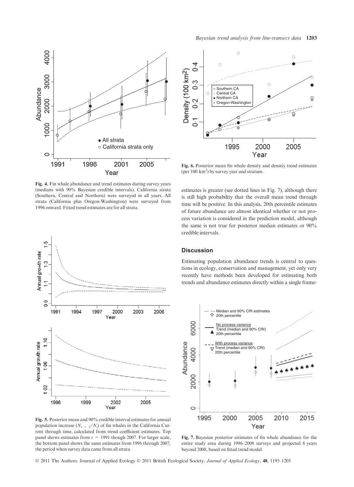

Fig. 4. Fin whale abundance and trend estimates during survey years (medians with 90% Bayesian credible intervals). California strata (Southern, Central and Northern) were surveyed in all years. All strata (California plus Oregon-Washington) were surveyed from 1996 onward. Fitted trend estimates are for all strata.



Fig. 5. Posterior mean and 90% credible interval estimates for annual population increase  $(N_{t + 1} / N_t)$  of fin whales in the California Current through time, calculated from trend coefficient estimates. Top panel shows estimates from  $t = 1991$  though 2007. For larger scale, the bottom panel shows the same estimates from 1996 through 2007, the period when survey data came from all strata.



Fig. 6. Posterior mean fin whale density and density trend estimates (per 100 km<sup>2</sup>) by survey year and stratum.

estimates is greater (see dotted lines in Fig. 7), although there is still high probability that the overall mean trend through time will be positive. In this analysis, 20th percentile estimates of future abundance are almost identical whether or not process variation is considered in the prediction model, although the same is not true for posterior median estimates or 90% credible intervals.

## **Discussion**

Estimating population abundance trends is central to questions in ecology, conservation and management, yet only very recently have methods been developed for estimating both trends and abundance estimates directly within a single frame-



Fig. 7. Bayesian posterior estimates of fin whale abundance for the entire study area during 1996–2008 surveys and projected 8 years beyond 2008, based on fitted trend model.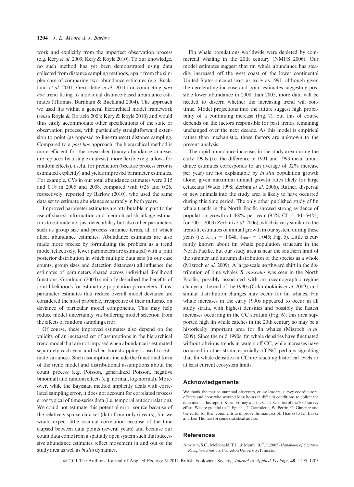work and explicitly from the imperfect observation process (e.g. Kéry et al. 2009; Kéry & Royle 2010). To our knowledge, no such method has yet been demonstrated using data collected from distance sampling methods, apart from the simpler case of comparing two abundance estimates (e.g. Buckland *et al.* 2001; Gerrodette *et al.* 2011) or conducting *post* hoc trend fitting to individual distance-based abundance estimates (Thomas, Burnham & Buckland 2004). The approach we used fits within a general hierarchical model framework (sensu Royle & Dorazio 2008; Kéry & Royle 2010) and would thus easily accommodate other specifications of the state or observation process, with particularly straightforward extension to point (as opposed to line-transect) distance sampling. Compared to a post hoc approach, the hierarchical method is more efficient for the researcher (many abundance analyses are replaced by a single analysis), more flexible (e.g. allows for random effects), useful for prediction (because process error is estimated explicitly) and yields improved parameter estimates. For example, CVs in our total abundance estimates were  $0.15$ and  $0.18$  in 2005 and 2008, compared with  $0.25$  and  $0.26$ , respectively, reported by Barlow (2010), who used the same data set to estimate abundance separately in both years.

Improved parameter estimates are attributable in part to the use of shared information and hierarchical shrinkage estimators to estimate not just detectability but also other parameters such as group size and process variance terms, all of which affect abundance estimates. Abundance estimates are also made more precise by formulating the problem as a trend model (effectively, fewer parameters are estimated) with a joint posterior distribution in which multiple data sets (in our case counts, group sizes and detection distances) all influence the estimates of parameters shared across individual likelihood functions. Goodman (2004) similarly described the benefits of joint likelihoods for estimating population parameters. Thus, parameter estimates that reduce overall model deviance are considered the most probable, irrespective of their influence on deviance of particular model components. This may help reduce model uncertainty via buffering model selection from the effects of random sampling error.

Of course, these improved estimates also depend on the validity of an increased set of assumptions in the hierarchical trend model that are not imposed when abundance is estimated separately each year and when bootstrapping is used to estimate variances. Such assumptions include the functional form of the trend model and distributional assumptions about the count process (e.g. Poisson, generalized Poisson, negative binomial) and random effects (e.g. normal, log-normal). Moreover, while the Bayesian method implicitly deals with correlated sampling error, it does not account for correlated process error typical of time-series data (i.e. temporal autocorrelation). We could not estimate this potential error source because of the relatively sparse data set (data from only 6 years), but we would expect little residual correlation because of the time elapsed between data points (several years) and because our count data come from a spatially open system such that successive abundance estimates reflect movement in and out of the study area as well as in situ dynamics.

Fin whale populations worldwide were depleted by commercial whaling in the 20th century (NMFS 2006). Our model estimates suggest that fin whale abundance has steadily increased off the west coast of the lower continental United States since at least as early as 1991, although given the decelerating increase and point estimates suggesting possible lower abundance in 2008 than 2005, more data will be needed to discern whether the increasing trend will continue. Model projections into the future suggest high probability of a continuing increase (Fig. 7), but this of course depends on the factors responsible for past trends remaining unchanged over the next decade. As this model is empirical rather than mechanistic, those factors are unknown to the present analysis.

The rapid abundance increases in the study area during the early 1990s (i.e. the difference in 1991 and 1993 mean abundance estimates corresponds to an average of 32% increase per year) are not explainable by in situ population growth alone, given maximum annual growth rates likely for large cetaceans (Wade 1998; Zerbini et al. 2006). Rather, dispersal of new animals into the study area is likely to have occurred during this time period. The only other published study of fin whale trends in the North Pacific showed strong evidence of population growth at  $4.8\%$  per year (95% CI =  $4.1 - 5.4\%$ ) for 2001–2003 (Zerbini et al. 2006), which is very similar to the trend-fit estimates of annual growth in our system during these years (i.e.  $\lambda_{2001} = 1.048$ ,  $\lambda_{2002} = 1.045$ ; Fig. 5). Little is currently known about fin whale population structure in the North Pacific, but our study area is near the southern limit of the summer and autumn distribution of the species as a whole (Mizroch et al. 2009). A large-scale northward shift in the distribution of blue whales B. musculus was seen in the North Pacific, possibly associated with an oceanographic regime change at the end of the 1990s (Calambokidis et al. 2009), and similar distribution changes may occur for fin whales. Fin whale increases in the early 1990s appeared to occur in all study strata, with highest densities and possibly the fastest increases occurring in the CC stratum (Fig. 6); this area supported high fin whale catches in the 20th century so may be a historically important area for fin whales (Mizroch et al. 2009). Since the mid 1990s, fin whale densities have fluctuated without obvious trends in waters off CC, while increases have occurred in other strata, especially off NC, perhaps signalling that fin whale densities in CC are reaching historical levels or at least current ecosystem limits.

#### Acknowledgements

We thank the marine mammal observers, cruise leaders, survey coordinators, officers and crew who worked long hours in difficult conditions to collect the data used in this report. Karin Forney was the Chief Scientist of the 2005 survey effort. We are grateful to T. Eguchi, T. Gerrodette, W. Perrin, O. Gimenez and the editor for their comments to improve the manuscript. Thanks to Jeff Laake and Len Thomas for some statistical advice.

## References

Amstrup, S.C., McDonald, T.L. & Manly, B.F.J. (2005) Handbook of Capture-Recapture Analysis. Princeton University, Princeton.